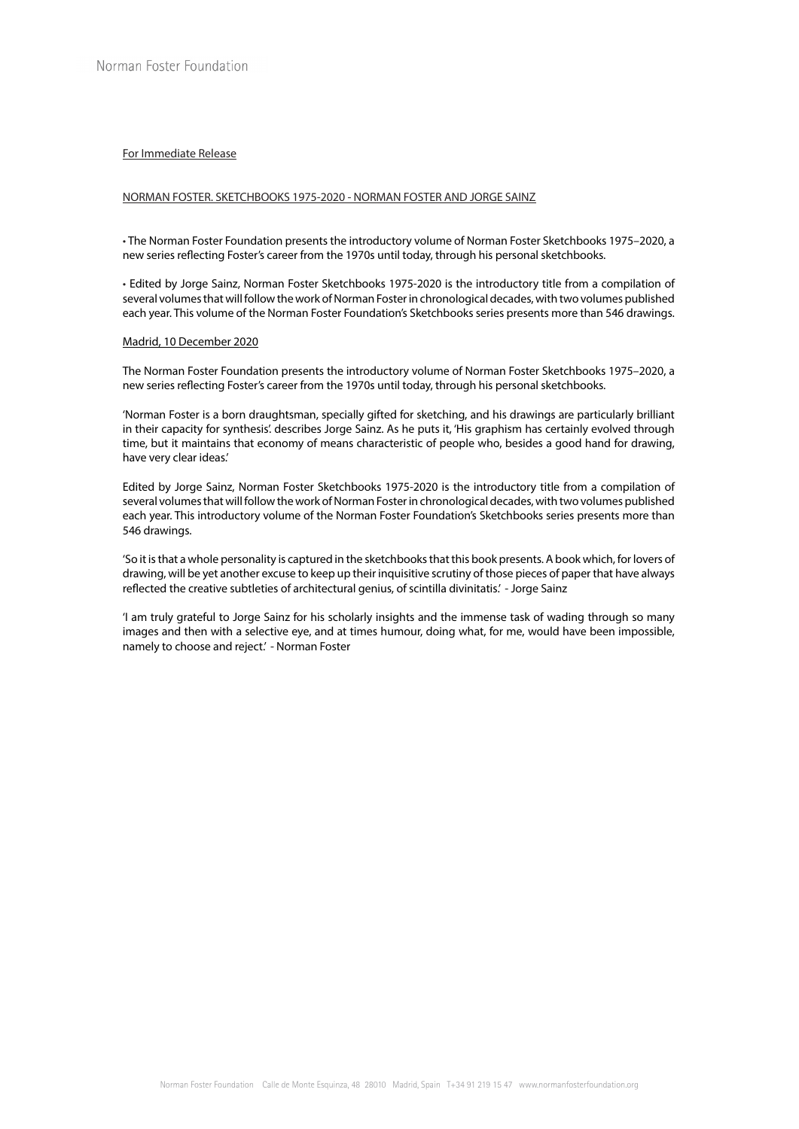# For Immediate Release

# NORMAN FOSTER. SKETCHBOOKS 1975-2020 - NORMAN FOSTER AND JORGE SAINZ

• The Norman Foster Foundation presents the introductory volume of Norman Foster Sketchbooks 1975–2020, a new series reflecting Foster's career from the 1970s until today, through his personal sketchbooks.

• Edited by Jorge Sainz, Norman Foster Sketchbooks 1975-2020 is the introductory title from a compilation of several volumes that will follow the work of Norman Foster in chronological decades, with two volumes published each year. This volume of the Norman Foster Foundation's Sketchbooks series presents more than 546 drawings.

### Madrid, 10 December 2020

The Norman Foster Foundation presents the introductory volume of Norman Foster Sketchbooks 1975–2020, a new series reflecting Foster's career from the 1970s until today, through his personal sketchbooks.

'Norman Foster is a born draughtsman, specially gifted for sketching, and his drawings are particularly brilliant in their capacity for synthesis'. describes Jorge Sainz. As he puts it, 'His graphism has certainly evolved through time, but it maintains that economy of means characteristic of people who, besides a good hand for drawing, have very clear ideas.'

Edited by Jorge Sainz, Norman Foster Sketchbooks 1975-2020 is the introductory title from a compilation of several volumes that will follow the work of Norman Foster in chronological decades, with two volumes published each year. This introductory volume of the Norman Foster Foundation's Sketchbooks series presents more than 546 drawings.

'So it is that a whole personality is captured in the sketchbooks that this book presents. A book which, for lovers of drawing, will be yet another excuse to keep up their inquisitive scrutiny of those pieces of paper that have always reflected the creative subtleties of architectural genius, of scintilla divinitatis.' - Jorge Sainz

'I am truly grateful to Jorge Sainz for his scholarly insights and the immense task of wading through so many images and then with a selective eye, and at times humour, doing what, for me, would have been impossible, namely to choose and reject.' - Norman Foster